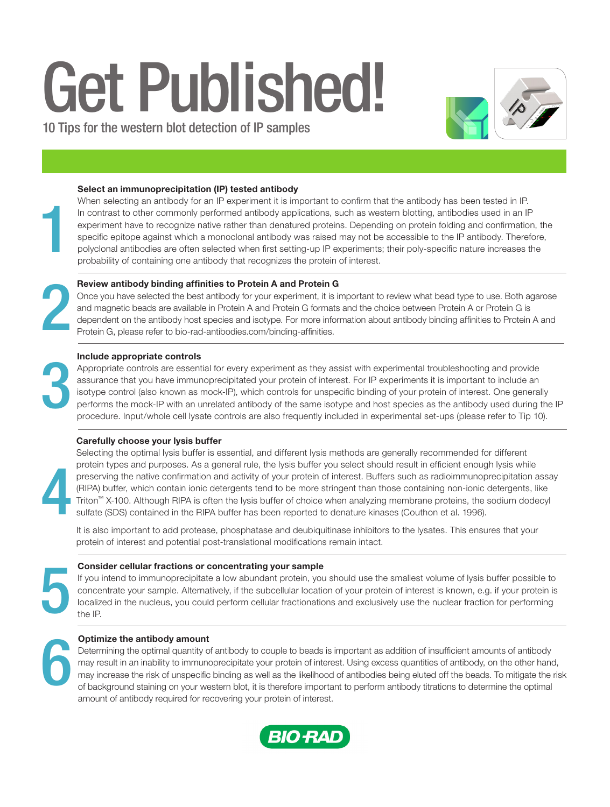# Get Published!

10 Tips for the western blot detection of IP samples



# Select an immunoprecipitation (IP) tested antibody

When selecting an antibody for an IP experiment it is important to confirm that the antibody has been tested in IP. In contrast to other commonly performed antibody applications, such as western blotting, antibodies used in an IP experiment have to recognize native rather than denatured proteins. Depending on protein folding and confirmation, the specific epitope against which a monoclonal antibody was raised may not be accessible to the IP antibody. Therefore, polyclonal antibodies are often selected when first setting-up IP experiments; their poly-specific nature increases the probability of containing one antibody that recognizes the protein of interest.

# Review antibody binding affinities to Protein A and Protein G

Once you have selected the best antibody for your experiment, it is important to review what bead type to use. Both agarose and magnetic beads are available in Protein A and Protein G formats and the choice between Protein A or Protein G is dependent on the antibody host species and isotype. For more information about antibody binding affinities to Protein A and Protein G, please refer to bio-rad-antibodies.com/binding-affinities.

## Include appropriate controls

Appropriate controls are essential for every experiment as they assist with experimental troubleshooting and provide assurance that you have immunoprecipitated your protein of interest. For IP experiments it is important to include an isotype control (also known as mock-IP), which controls for unspecific binding of your protein of interest. One generally performs the mock-IP with an unrelated antibody of the same isotype and host species as the antibody used during the IP procedure. Input/whole cell lysate controls are also frequently included in experimental set-ups (please refer to Tip 10).

## Carefully choose your lysis buffer

4

1

2

3

Selecting the optimal lysis buffer is essential, and different lysis methods are generally recommended for different protein types and purposes. As a general rule, the lysis buffer you select should result in efficient enough lysis while preserving the native confirmation and activity of your protein of interest. Buffers such as radioimmunoprecipitation assay (RIPA) buffer, which contain ionic detergents tend to be more stringent than those containing non-ionic detergents, like Triton™ X-100. Although RIPA is often the lysis buffer of choice when analyzing membrane proteins, the sodium dodecyl sulfate (SDS) contained in the RIPA buffer has been reported to denature kinases (Couthon et al. 1996).

It is also important to add protease, phosphatase and deubiquitinase inhibitors to the lysates. This ensures that your protein of interest and potential post-translational modifications remain intact.

## Consider cellular fractions or concentrating your sample

If you intend to immunoprecipitate a low abundant protein, you should use the smallest volume of lysis buffer possible to concentrate your sample. Alternatively, if the subcellular location of your protein of interest is known, e.g. if your protein is localized in the nucleus, you could perform cellular fractionations and exclusively use the nuclear fraction for performing the IP.



5

## Optimize the antibody amount

Determining the optimal quantity of antibody to couple to beads is important as addition of insufficient amounts of antibody may result in an inability to immunoprecipitate your protein of interest. Using excess quantities of antibody, on the other hand, may increase the risk of unspecific binding as well as the likelihood of antibodies being eluted off the beads. To mitigate the risk of background staining on your western blot, it is therefore important to perform antibody titrations to determine the optimal amount of antibody required for recovering your protein of interest.